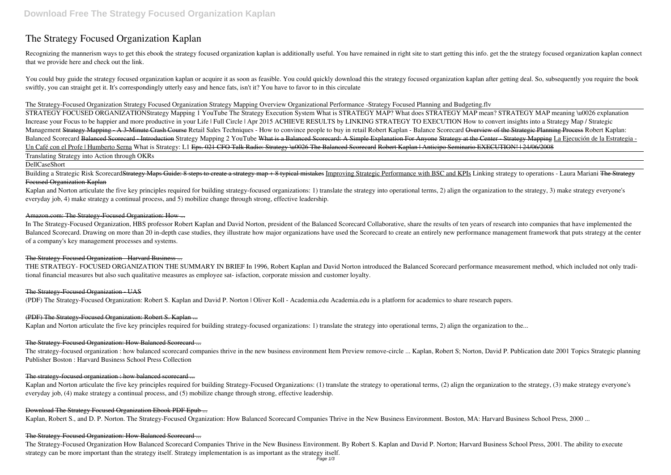# **The Strategy Focused Organization Kaplan**

Recognizing the mannerism ways to get this ebook the strategy focused organization kaplan is additionally useful. You have remained in right site to start getting this info. get the the strategy focused organization kaplan that we provide here and check out the link.

You could buy guide the strategy focused organization kaplan or acquire it as soon as feasible. You could quickly download this the strategy focused organization kaplan after getting deal. So, subsequently you require the swiftly, you can straight get it. It's correspondingly utterly easy and hence fats, isn't it? You have to favor to in this circulate

#### The Strategy-Focused Organization Strategy Focused Organization *Strategy Mapping Overview* **Organizational Performance -Strategy Focused Planning and Budgeting.flv**

Building a Strategic Risk Scorecard<del>Strategy Maps Guide: 8 steps to create a strategy map + 8 typical mistakes</del> Improving Strategic Performance with BSC and KPIs Linking strategy to operations - Laura Mariani The Strategy Focused Organization Kaplan

Kaplan and Norton articulate the five key principles required for building strategy-focused organizations: 1) translate the strategy into operational terms, 2) align the organization to the strategy, 3) make strategy every everyday job, 4) make strategy a continual process, and 5) mobilize change through strong, effective leadership.

## Amazon.com: The Strategy-Focused Organization: How ...

STRATEGY FOCUSED ORGANIZATION**Strategy Mapping 1 YouTube The Strategy Execution System What is STRATEGY MAP? What does STRATEGY MAP mean? STRATEGY MAP meaning \u0026 explanation Increase your Focus to be happier and more productive in your Life | Full Circle | Apr 2015 ACHIEVE RESULTS by LINKING STRATEGY TO EXECUTION** *How to convert insights into a Strategy Map / Strategic* Management Strategy Mapping A 3 Minute Crash Course Retail Sales Techniques - How to convince people to buy in retail Robert Kaplan - Balance Scorecard Overview of the Strategic Planning Process Robert Kaplan: Balanced Scorecard Balanced Scorecard Introduction Strategy Mapping 2 YouTube What is a Balanced Scorecard: A Simple Explanation For Anyone Strategy at the Center Strategy Mapping La Ejecución de la Estrategia -Un Café con el Profe | Humberto Serna What is Strategy: L1 Eps. 021 CFO Talk Radio: Strategy \u0026 The Balanced Scorecard Robert Kaplan | Anticipo Seminario EXECUTION! | 24/06/2008 Translating Strategy into Action through OKRs

DellCaseShort

Kaplan and Norton articulate the five key principles required for building Strategy-Focused Organizations: (1) translate the strategy to operational terms, (2) align the organization to the strategy, (3) make strategy ever everyday job, (4) make strategy a continual process, and (5) mobilize change through strong, effective leadership.

In The Strategy-Focused Organization, HBS professor Robert Kaplan and David Norton, president of the Balanced Scorecard Collaborative, share the results of ten years of research into companies that have implemented the Balanced Scorecard. Drawing on more than 20 in-depth case studies, they illustrate how major organizations have used the Scorecard to create an entirely new performance management framework that puts strategy at the center of a company's key management processes and systems.

#### The Strategy-Focused Organization - Harvard Business ...

THE STRATEGY- FOCUSED ORGANIZATION THE SUMMARY IN BRIEF In 1996, Robert Kaplan and David Norton introduced the Balanced Scorecard performance measurement method, which included not only traditional financial measures but also such qualitative measures as employee sat- isfaction, corporate mission and customer loyalty.

#### The Strategy-Focused Organization - UAS

(PDF) The Strategy-Focused Organization: Robert S. Kaplan and David P. Norton | Oliver Koll - Academia.edu Academia.edu is a platform for academics to share research papers.

## (PDF) The Strategy-Focused Organization: Robert S. Kaplan ...

Kaplan and Norton articulate the five key principles required for building strategy-focused organizations: 1) translate the strategy into operational terms, 2) align the organization to the...

## The Strategy-Focused Organization: How Balanced Scorecard ...

The strategy-focused organization : how balanced scorecard companies thrive in the new business environment Item Preview remove-circle ... Kaplan, Robert S; Norton, David P. Publication date 2001 Topics Strategic planning Publisher Boston : Harvard Business School Press Collection

### The strategy-focused organization : how balanced scorecard ...

#### Download The Strategy Focused Organization Ebook PDF Epub ...

Kaplan, Robert S., and D. P. Norton. The Strategy-Focused Organization: How Balanced Scorecard Companies Thrive in the New Business Environment. Boston, MA: Harvard Business School Press, 2000 ...

#### The Strategy-Focused Organization: How Balanced Scorecard ...

The Strategy-Focused Organization How Balanced Scorecard Companies Thrive in the New Business Environment. By Robert S. Kaplan and David P. Norton; Harvard Business School Press, 2001. The ability to execute strategy can be more important than the strategy itself. Strategy implementation is as important as the strategy itself.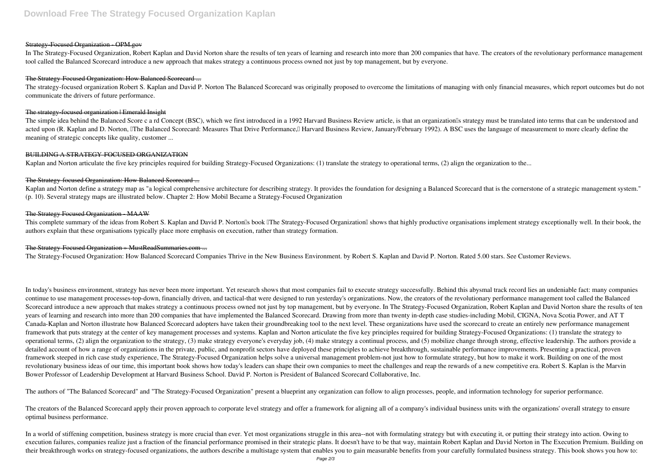#### **Strategy-Focused Organization - OPM.gov**

In The Strategy-Focused Organization, Robert Kaplan and David Norton share the results of ten years of learning and research into more than 200 companies that have. The creators of the revolutionary performance management tool called the Balanced Scorecard introduce a new approach that makes strategy a continuous process owned not just by top management, but by everyone.

#### The Strategy-Focused Organization: How Balanced Scorecard ...

The strategy-focused organization Robert S. Kaplan and David P. Norton The Balanced Scorecard was originally proposed to overcome the limitations of managing with only financial measures, which report outcomes but do not communicate the drivers of future performance.

#### The strategy focused organization | Emerald Insight

The simple idea behind the Balanced Score c a rd Concept (BSC), which we first introduced in a 1992 Harvard Business Review article, is that an organization<sup>'s</sup> strategy must be translated into terms that can be understood acted upon (R. Kaplan and D. Norton, IThe Balanced Scorecard: Measures That Drive Performance, Harvard Business Review, January/February 1992). A BSC uses the language of measurement to more clearly define the meaning of strategic concepts like quality, customer ...

Kaplan and Norton define a strategy map as "a logical comprehensive architecture for describing strategy. It provides the foundation for designing a Balanced Scorecard that is the cornerstone of a strategic management syst (p. 10). Several strategy maps are illustrated below. Chapter 2: How Mobil Became a Strategy-Focused Organization

This complete summary of the ideas from Robert S. Kaplan and David P. Norton<sup>'</sup>s book <sup>The</sup> Strategy-Focused Organization shows that highly productive organisations implement strategy exceptionally well. In their book, the authors explain that these organisations typically place more emphasis on execution, rather than strategy formation.

#### BUILDING A STRATEGY-FOCUSED ORGANIZATION

Kaplan and Norton articulate the five key principles required for building Strategy-Focused Organizations: (1) translate the strategy to operational terms, (2) align the organization to the...

#### The Strategy-focused Organization: How Balanced Scorecard ...

#### The Strategy Focused Organization - MAAW

#### The Strategy-Focused Organization » MustReadSummaries.com ...

The Strategy-Focused Organization: How Balanced Scorecard Companies Thrive in the New Business Environment. by Robert S. Kaplan and David P. Norton. Rated 5.00 stars. See Customer Reviews.

The creators of the Balanced Scorecard apply their proven approach to corporate level strategy and offer a framework for aligning all of a company's individual business units with the organizations' overall strategy to ens optimal business performance.

In a world of stiffening competition, business strategy is more crucial than ever. Yet most organizations struggle in this area--not with formulating strategy but with executing it, or putting their strategy into action. O execution failures, companies realize just a fraction of the financial performance promised in their strategic plans. It doesn't have to be that way, maintain Robert Kaplan and David Norton in The Execution Premium. Buildi their breakthrough works on strategy-focused organizations, the authors describe a multistage system that enables you to gain measurable benefits from your carefully formulated business strategy. This book shows you how to:

In today's business environment, strategy has never been more important. Yet research shows that most companies fail to execute strategy successfully. Behind this abysmal track record lies an undeniable fact: many companies continue to use management processes-top-down, financially driven, and tactical-that were designed to run yesterday's organizations. Now, the creators of the revolutionary performance management tool called the Balanced Scorecard introduce a new approach that makes strategy a continuous process owned not just by top management, but by everyone. In The Strategy-Focused Organization, Robert Kaplan and David Norton share the results of ten years of learning and research into more than 200 companies that have implemented the Balanced Scorecard. Drawing from more than twenty in-depth case studies-including Mobil, CIGNA, Nova Scotia Power, and AT T Canada-Kaplan and Norton illustrate how Balanced Scorecard adopters have taken their groundbreaking tool to the next level. These organizations have used the scorecard to create an entirely new performance management framework that puts strategy at the center of key management processes and systems. Kaplan and Norton articulate the five key principles required for building Strategy-Focused Organizations: (1) translate the strategy to operational terms, (2) align the organization to the strategy, (3) make strategy everyone's everyday job, (4) make strategy a continual process, and (5) mobilize change through strong, effective leadership. The authors pro detailed account of how a range of organizations in the private, public, and nonprofit sectors have deployed these principles to achieve breakthrough, sustainable performance improvements. Presenting a practical, proven framework steeped in rich case study experience, The Strategy-Focused Organization helps solve a universal management problem-not just how to formulate strategy, but how to make it work. Building on one of the most revolutionary business ideas of our time, this important book shows how today's leaders can shape their own companies to meet the challenges and reap the rewards of a new competitive era. Robert S. Kaplan is the Marvin Bower Professor of Leadership Development at Harvard Business School. David P. Norton is President of Balanced Scorecard Collaborative, Inc.

The authors of "The Balanced Scorecard" and "The Strategy-Focused Organization" present a blueprint any organization can follow to align processes, people, and information technology for superior performance.